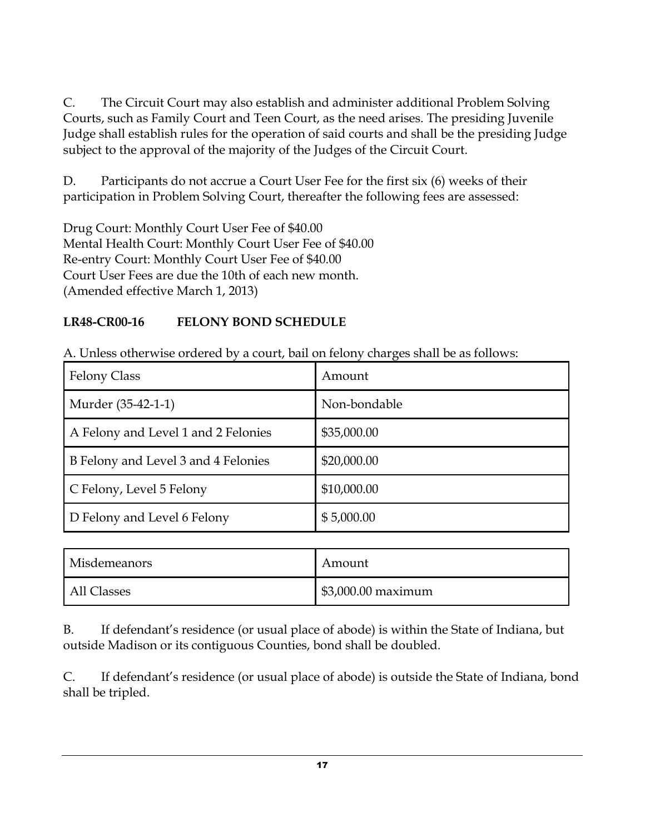C. The Circuit Court may also establish and administer additional Problem Solving Courts, such as Family Court and Teen Court, as the need arises. The presiding Juvenile Judge shall establish rules for the operation of said courts and shall be the presiding Judge subject to the approval of the majority of the Judges of the Circuit Court.

D. Participants do not accrue a Court User Fee for the first six (6) weeks of their participation in Problem Solving Court, thereafter the following fees are assessed:

Drug Court: Monthly Court User Fee of \$40.00 Mental Health Court: Monthly Court User Fee of \$40.00 Re-entry Court: Monthly Court User Fee of \$40.00 Court User Fees are due the 10th of each new month. (Amended effective March 1, 2013)

## **LR48-CR00-16 FELONY BOND SCHEDULE**

| <b>Felony Class</b>                 | Amount       |
|-------------------------------------|--------------|
| Murder (35-42-1-1)                  | Non-bondable |
| A Felony and Level 1 and 2 Felonies | \$35,000.00  |
| B Felony and Level 3 and 4 Felonies | \$20,000.00  |
| C Felony, Level 5 Felony            | \$10,000.00  |
| D Felony and Level 6 Felony         | \$5,000.00   |

A. Unless otherwise ordered by a court, bail on felony charges shall be as follows:

| <b>Misdemeanors</b> | Amount             |
|---------------------|--------------------|
| All Classes         | \$3,000.00 maximum |

B. If defendant's residence (or usual place of abode) is within the State of Indiana, but outside Madison or its contiguous Counties, bond shall be doubled.

C. If defendant's residence (or usual place of abode) is outside the State of Indiana, bond shall be tripled.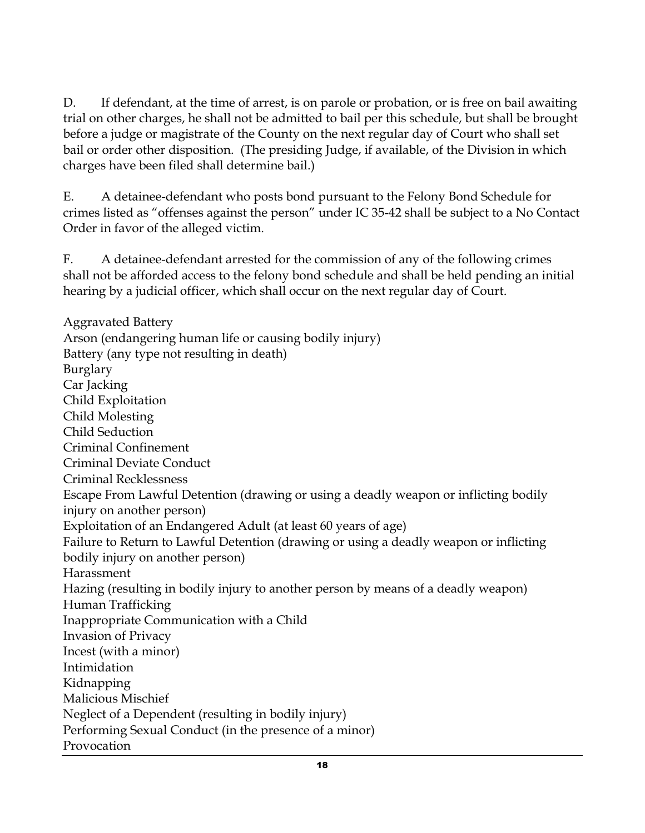D. If defendant, at the time of arrest, is on parole or probation, or is free on bail awaiting trial on other charges, he shall not be admitted to bail per this schedule, but shall be brought before a judge or magistrate of the County on the next regular day of Court who shall set bail or order other disposition. (The presiding Judge, if available, of the Division in which charges have been filed shall determine bail.)

E. A detainee-defendant who posts bond pursuant to the Felony Bond Schedule for crimes listed as "offenses against the person" under IC 35-42 shall be subject to a No Contact Order in favor of the alleged victim.

F. A detainee-defendant arrested for the commission of any of the following crimes shall not be afforded access to the felony bond schedule and shall be held pending an initial hearing by a judicial officer, which shall occur on the next regular day of Court.

Aggravated Battery Arson (endangering human life or causing bodily injury) Battery (any type not resulting in death) Burglary Car Jacking Child Exploitation Child Molesting Child Seduction Criminal Confinement Criminal Deviate Conduct Criminal Recklessness Escape From Lawful Detention (drawing or using a deadly weapon or inflicting bodily injury on another person) Exploitation of an Endangered Adult (at least 60 years of age) Failure to Return to Lawful Detention (drawing or using a deadly weapon or inflicting bodily injury on another person) Harassment Hazing (resulting in bodily injury to another person by means of a deadly weapon) Human Trafficking Inappropriate Communication with a Child Invasion of Privacy Incest (with a minor) Intimidation Kidnapping Malicious Mischief Neglect of a Dependent (resulting in bodily injury) Performing Sexual Conduct (in the presence of a minor) Provocation